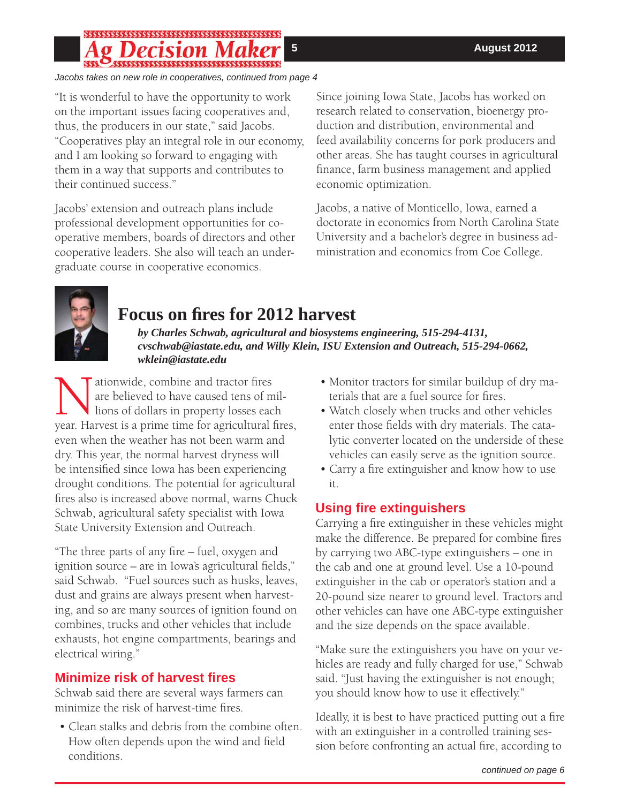# \$\$\$\$\$\$\$\$\$\$\$\$\$\$\$\$\$\$\$\$\$\$\$\$\$\$\$\$\$\$\$\$\$\$\$\$\$ 55555555555555555555555555555555555555

*Jacobs takes on new role in cooperatives, continued from page 4*

"It is wonderful to have the opportunity to work on the important issues facing cooperatives and, thus, the producers in our state," said Jacobs. "Cooperatives play an integral role in our economy, and I am looking so forward to engaging with them in a way that supports and contributes to their continued success."

Jacobs' extension and outreach plans include professional development opportunities for cooperative members, boards of directors and other cooperative leaders. She also will teach an undergraduate course in cooperative economics.

Since joining Iowa State, Jacobs has worked on research related to conservation, bioenergy production and distribution, environmental and feed availability concerns for pork producers and other areas. She has taught courses in agricultural finance, farm business management and applied economic optimization.

Jacobs, a native of Monticello, Iowa, earned a doctorate in economics from North Carolina State University and a bachelor's degree in business administration and economics from Coe College.



# **Focus on fi res for 2012 harvest**

*by Charles Schwab, agricultural and biosystems engineering, 515-294-4131, cvschwab@iastate.edu, and Willy Klein, ISU Extension and Outreach, 515-294-0662, wklein@iastate.edu*

Mationwide, combine and tractor fires<br>
are believed to have caused tens of mil-<br>
year. Harvest is a prime time for agricultural fires, are believed to have caused tens of millions of dollars in property losses each even when the weather has not been warm and dry. This year, the normal harvest dryness will be intensified since Iowa has been experiencing drought conditions. The potential for agricultural fires also is increased above normal, warns Chuck Schwab, agricultural safety specialist with Iowa State University Extension and Outreach.

"The three parts of any fire – fuel, oxygen and ignition source  $-$  are in Iowa's agricultural fields," said Schwab. "Fuel sources such as husks, leaves, dust and grains are always present when harvesting, and so are many sources of ignition found on combines, trucks and other vehicles that include exhausts, hot engine compartments, bearings and electrical wiring."

## **Minimize risk of harvest fi res**

Schwab said there are several ways farmers can minimize the risk of harvest-time fires.

• Clean stalks and debris from the combine often. How often depends upon the wind and field conditions.

- Monitor tractors for similar buildup of dry materials that are a fuel source for fires.
- Watch closely when trucks and other vehicles enter those fields with dry materials. The catalytic converter located on the underside of these vehicles can easily serve as the ignition source.
- Carry a fire extinguisher and know how to use it.

### **Using fi re extinguishers**

Carrying a fire extinguisher in these vehicles might make the difference. Be prepared for combine fires by carrying two ABC-type extinguishers – one in the cab and one at ground level. Use a 10-pound extinguisher in the cab or operator's station and a 20-pound size nearer to ground level. Tractors and other vehicles can have one ABC-type extinguisher and the size depends on the space available.

"Make sure the extinguishers you have on your vehicles are ready and fully charged for use," Schwab said. "Just having the extinguisher is not enough; you should know how to use it effectively."

Ideally, it is best to have practiced putting out a fire with an extinguisher in a controlled training session before confronting an actual fire, according to